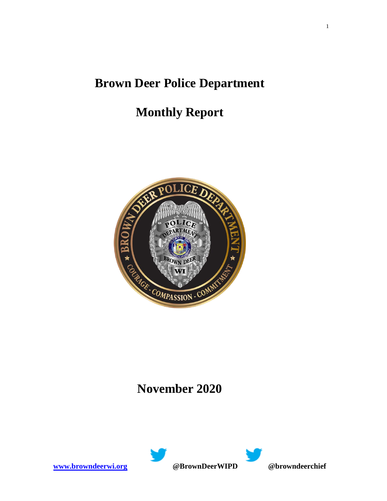## **Brown Deer Police Department**

# **Monthly Report**



### **November 2020**

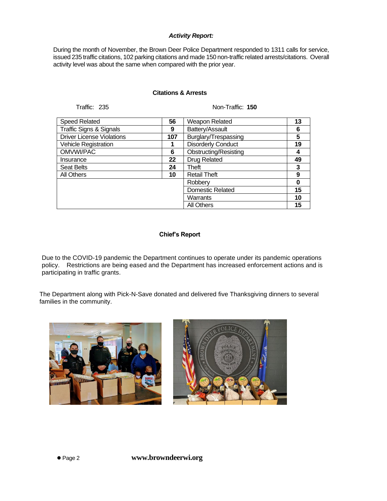#### *Activity Report:*

During the month of November, the Brown Deer Police Department responded to 1311 calls for service, issued 235 traffic citations, 102 parking citations and made 150 non-traffic related arrests/citations. Overall activity level was about the same when compared with the prior year.

#### **Citations & Arrests**

Traffic: 235 Non-Traffic: **150**

| <b>Speed Related</b>               | 56  | Weapon Related               | 13 |
|------------------------------------|-----|------------------------------|----|
| <b>Traffic Signs &amp; Signals</b> | 9   | Battery/Assault              | 6  |
| <b>Driver License Violations</b>   | 107 | Burglary/Trespassing         | 5  |
| <b>Vehicle Registration</b>        | 1   | <b>Disorderly Conduct</b>    | 19 |
| OMVWI/PAC                          | 6   | <b>Obstructing/Resisting</b> |    |
| Insurance                          | 22  | <b>Drug Related</b>          | 49 |
| <b>Seat Belts</b>                  | 24  | Theft                        | 3  |
| All Others                         | 10  | <b>Retail Theft</b>          | 9  |
|                                    |     | Robberv                      |    |
|                                    |     | <b>Domestic Related</b>      | 15 |
|                                    |     | Warrants                     | 10 |
|                                    |     | <b>All Others</b>            | 15 |

#### **Chief's Report**

Due to the COVID-19 pandemic the Department continues to operate under its pandemic operations policy. Restrictions are being eased and the Department has increased enforcement actions and is participating in traffic grants.

The Department along with Pick-N-Save donated and delivered five Thanksgiving dinners to several families in the community.

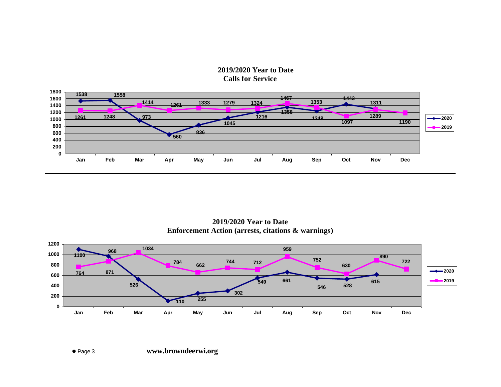### **2019/2020 Year to Date Calls for Service**



**2019/2020 Year to Date Enforcement Action (arrests, citations & warnings)**

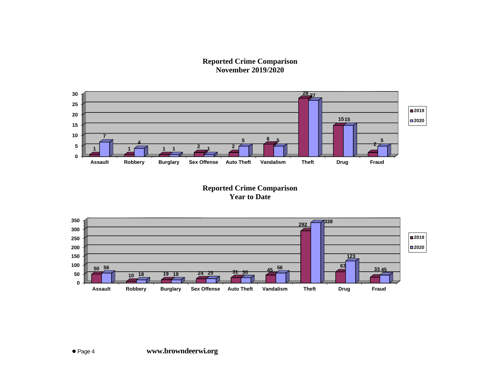**Reported Crime Comparison November 2019/2020**



**Reported Crime Comparison Year to Date**

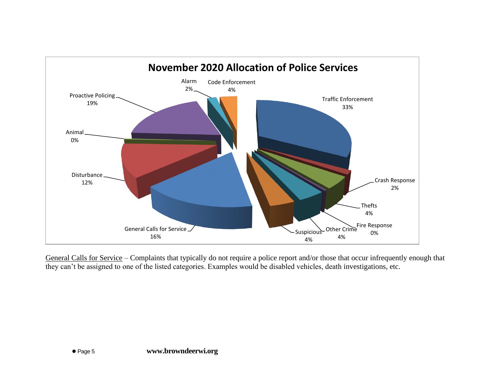

General Calls for Service – Complaints that typically do not require a police report and/or those that occur infrequently enough that they can't be assigned to one of the listed categories. Examples would be disabled vehicles, death investigations, etc.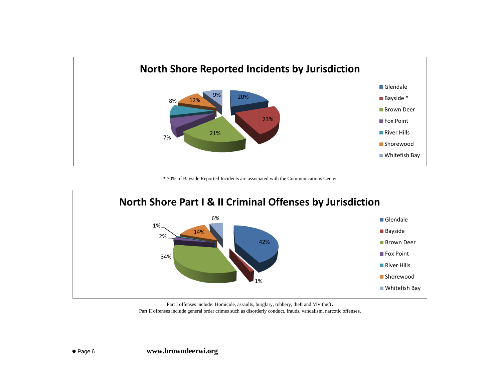

\* 70% of Bayside Reported Incidents are associated with the Communications Center



Part I offenses include: Homicide, assaults, burglary, robbery, theft and MV theft. Part II offenses include general order crimes such as disorderly conduct, frauds, vandalism, narcotic offenses.